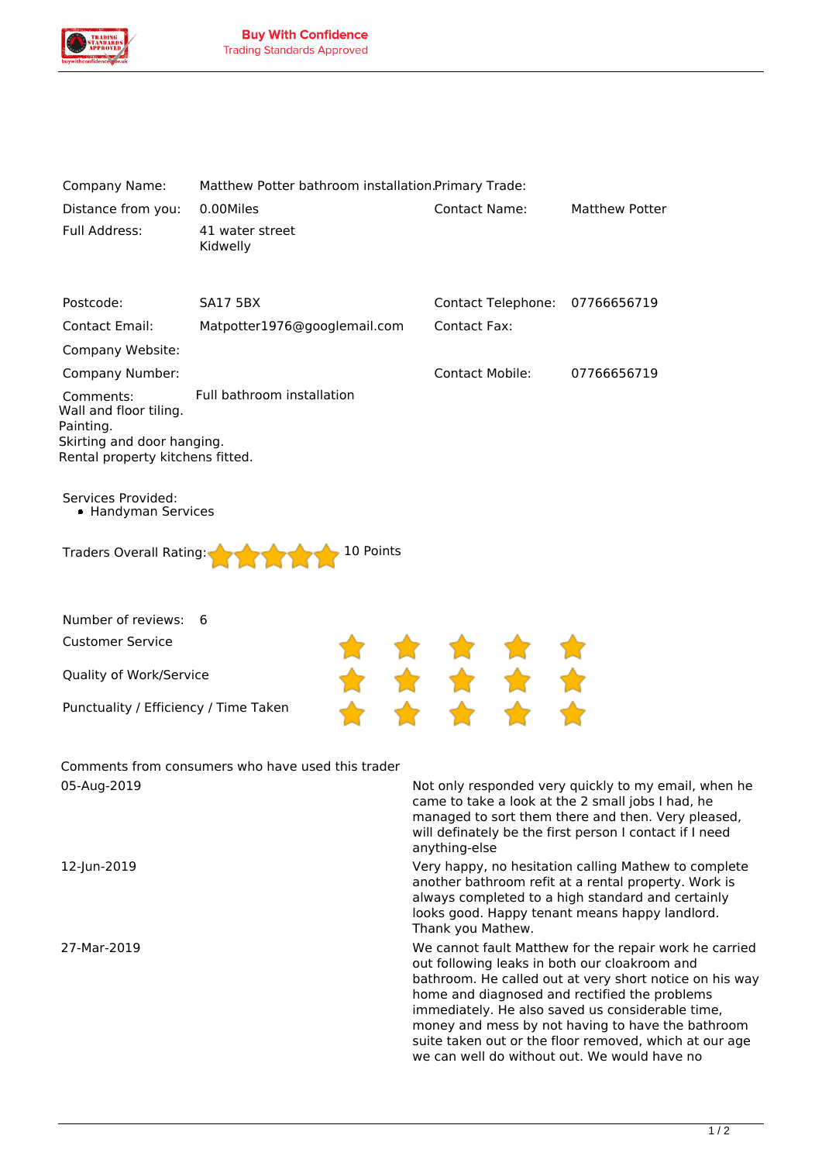

| Company Name:                                                  | Matthew Potter bathroom installation.Primary Trade: |                                                                                                                                                                                                                                                                                                                                                                                        |                                                                                                                                                                                                                            |
|----------------------------------------------------------------|-----------------------------------------------------|----------------------------------------------------------------------------------------------------------------------------------------------------------------------------------------------------------------------------------------------------------------------------------------------------------------------------------------------------------------------------------------|----------------------------------------------------------------------------------------------------------------------------------------------------------------------------------------------------------------------------|
| Distance from you:<br>Full Address:                            | 0.00Miles<br>41 water street<br>Kidwelly            | <b>Contact Name:</b>                                                                                                                                                                                                                                                                                                                                                                   | <b>Matthew Potter</b>                                                                                                                                                                                                      |
|                                                                |                                                     |                                                                                                                                                                                                                                                                                                                                                                                        |                                                                                                                                                                                                                            |
| Postcode:                                                      | <b>SA17 5BX</b>                                     | Contact Telephone: 07766656719                                                                                                                                                                                                                                                                                                                                                         |                                                                                                                                                                                                                            |
| Contact Email:                                                 | Matpotter1976@googlemail.com                        | <b>Contact Fax:</b>                                                                                                                                                                                                                                                                                                                                                                    |                                                                                                                                                                                                                            |
| Company Website:                                               |                                                     |                                                                                                                                                                                                                                                                                                                                                                                        |                                                                                                                                                                                                                            |
| Company Number:                                                |                                                     | <b>Contact Mobile:</b>                                                                                                                                                                                                                                                                                                                                                                 | 07766656719                                                                                                                                                                                                                |
| Comments:<br>Wall and floor tiling.<br>Painting.               | Full bathroom installation                          |                                                                                                                                                                                                                                                                                                                                                                                        |                                                                                                                                                                                                                            |
| Skirting and door hanging.<br>Rental property kitchens fitted. |                                                     |                                                                                                                                                                                                                                                                                                                                                                                        |                                                                                                                                                                                                                            |
| Services Provided:<br>• Handyman Services                      |                                                     |                                                                                                                                                                                                                                                                                                                                                                                        |                                                                                                                                                                                                                            |
| Traders Overall Rating:                                        | 10 Points                                           |                                                                                                                                                                                                                                                                                                                                                                                        |                                                                                                                                                                                                                            |
| Number of reviews:                                             | 6                                                   |                                                                                                                                                                                                                                                                                                                                                                                        |                                                                                                                                                                                                                            |
| <b>Customer Service</b>                                        |                                                     |                                                                                                                                                                                                                                                                                                                                                                                        |                                                                                                                                                                                                                            |
| Quality of Work/Service                                        |                                                     |                                                                                                                                                                                                                                                                                                                                                                                        |                                                                                                                                                                                                                            |
| Punctuality / Efficiency / Time Taken                          |                                                     |                                                                                                                                                                                                                                                                                                                                                                                        |                                                                                                                                                                                                                            |
|                                                                | Comments from consumers who have used this trader   |                                                                                                                                                                                                                                                                                                                                                                                        |                                                                                                                                                                                                                            |
| 05-Aug-2019                                                    |                                                     | anything-else                                                                                                                                                                                                                                                                                                                                                                          | Not only responded very quickly to my email, when he<br>came to take a look at the 2 small jobs I had, he<br>managed to sort them there and then. Very pleased,<br>will definately be the first person I contact if I need |
| 12-Jun-2019                                                    |                                                     | Very happy, no hesitation calling Mathew to complete<br>another bathroom refit at a rental property. Work is<br>always completed to a high standard and certainly<br>looks good. Happy tenant means happy landlord.<br>Thank you Mathew.                                                                                                                                               |                                                                                                                                                                                                                            |
| 27-Mar-2019                                                    |                                                     | We cannot fault Matthew for the repair work he carried<br>out following leaks in both our cloakroom and<br>bathroom. He called out at very short notice on his way<br>home and diagnosed and rectified the problems<br>immediately. He also saved us considerable time,<br>money and mess by not having to have the bathroom<br>suite taken out or the floor removed, which at our age |                                                                                                                                                                                                                            |

*we can well do without out. We would have no*